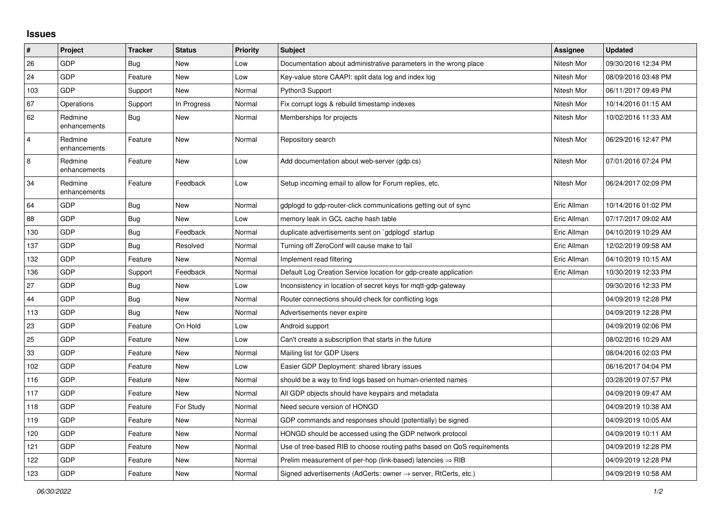## **Issues**

| $\sharp$       | Project                 | <b>Tracker</b> | <b>Status</b> | <b>Priority</b> | <b>Subject</b>                                                             | Assignee    | <b>Updated</b>      |
|----------------|-------------------------|----------------|---------------|-----------------|----------------------------------------------------------------------------|-------------|---------------------|
| 26             | <b>GDP</b>              | Bug            | <b>New</b>    | Low             | Documentation about administrative parameters in the wrong place           | Nitesh Mor  | 09/30/2016 12:34 PM |
| 24             | <b>GDP</b>              | Feature        | <b>New</b>    | Low             | Key-value store CAAPI: split data log and index log                        | Nitesh Mor  | 08/09/2016 03:48 PM |
| 103            | <b>GDP</b>              | Support        | New           | Normal          | Python3 Support                                                            | Nitesh Mor  | 06/11/2017 09:49 PM |
| 67             | Operations              | Support        | In Progress   | Normal          | Fix corrupt logs & rebuild timestamp indexes                               | Nitesh Mor  | 10/14/2016 01:15 AM |
| 62             | Redmine<br>enhancements | Bug            | <b>New</b>    | Normal          | Memberships for projects                                                   | Nitesh Mor  | 10/02/2016 11:33 AM |
| $\overline{4}$ | Redmine<br>enhancements | Feature        | <b>New</b>    | Normal          | Repository search                                                          | Nitesh Mor  | 06/29/2016 12:47 PM |
| 8              | Redmine<br>enhancements | Feature        | <b>New</b>    | Low             | Add documentation about web-server (gdp.cs)                                | Nitesh Mor  | 07/01/2016 07:24 PM |
| 34             | Redmine<br>enhancements | Feature        | Feedback      | Low             | Setup incoming email to allow for Forum replies, etc.                      | Nitesh Mor  | 06/24/2017 02:09 PM |
| 64             | <b>GDP</b>              | <b>Bug</b>     | <b>New</b>    | Normal          | gdplogd to gdp-router-click communications getting out of sync             | Eric Allman | 10/14/2016 01:02 PM |
| 88             | <b>GDP</b>              | <b>Bug</b>     | <b>New</b>    | Low             | memory leak in GCL cache hash table                                        | Eric Allman | 07/17/2017 09:02 AM |
| 130            | <b>GDP</b>              | <b>Bug</b>     | Feedback      | Normal          | duplicate advertisements sent on `gdplogd` startup                         | Eric Allman | 04/10/2019 10:29 AM |
| 137            | <b>GDP</b>              | <b>Bug</b>     | Resolved      | Normal          | Turning off ZeroConf will cause make to fail                               | Eric Allman | 12/02/2019 09:58 AM |
| 132            | <b>GDP</b>              | Feature        | <b>New</b>    | Normal          | Implement read filtering                                                   | Eric Allman | 04/10/2019 10:15 AM |
| 136            | <b>GDP</b>              | Support        | Feedback      | Normal          | Default Log Creation Service location for gdp-create application           | Eric Allman | 10/30/2019 12:33 PM |
| 27             | <b>GDP</b>              | Bug            | <b>New</b>    | Low             | Inconsistency in location of secret keys for mqtt-gdp-gateway              |             | 09/30/2016 12:33 PM |
| 44             | <b>GDP</b>              | <b>Bug</b>     | <b>New</b>    | Normal          | Router connections should check for conflicting logs                       |             | 04/09/2019 12:28 PM |
| 113            | <b>GDP</b>              | <b>Bug</b>     | <b>New</b>    | Normal          | Advertisements never expire                                                |             | 04/09/2019 12:28 PM |
| 23             | <b>GDP</b>              | Feature        | On Hold       | Low             | Android support                                                            |             | 04/09/2019 02:06 PM |
| 25             | <b>GDP</b>              | Feature        | <b>New</b>    | Low             | Can't create a subscription that starts in the future                      |             | 08/02/2016 10:29 AM |
| 33             | <b>GDP</b>              | Feature        | <b>New</b>    | Normal          | Mailing list for GDP Users                                                 |             | 08/04/2016 02:03 PM |
| 102            | <b>GDP</b>              | Feature        | <b>New</b>    | Low             | Easier GDP Deployment: shared library issues                               |             | 06/16/2017 04:04 PM |
| 116            | <b>GDP</b>              | Feature        | <b>New</b>    | Normal          | should be a way to find logs based on human-oriented names                 |             | 03/28/2019 07:57 PM |
| 117            | <b>GDP</b>              | Feature        | <b>New</b>    | Normal          | All GDP objects should have keypairs and metadata                          |             | 04/09/2019 09:47 AM |
| 118            | <b>GDP</b>              | Feature        | For Study     | Normal          | Need secure version of HONGD                                               |             | 04/09/2019 10:38 AM |
| 119            | <b>GDP</b>              | Feature        | New           | Normal          | GDP commands and responses should (potentially) be signed                  |             | 04/09/2019 10:05 AM |
| 120            | <b>GDP</b>              | Feature        | <b>New</b>    | Normal          | HONGD should be accessed using the GDP network protocol                    |             | 04/09/2019 10:11 AM |
| 121            | <b>GDP</b>              | Feature        | <b>New</b>    | Normal          | Use of tree-based RIB to choose routing paths based on QoS requirements    |             | 04/09/2019 12:28 PM |
| 122            | GDP                     | Feature        | <b>New</b>    | Normal          | Prelim measurement of per-hop (link-based) latencies $\Rightarrow$ RIB     |             | 04/09/2019 12:28 PM |
| 123            | GDP                     | Feature        | New           | Normal          | Signed advertisements (AdCerts: owner $\rightarrow$ server, RtCerts, etc.) |             | 04/09/2019 10:58 AM |